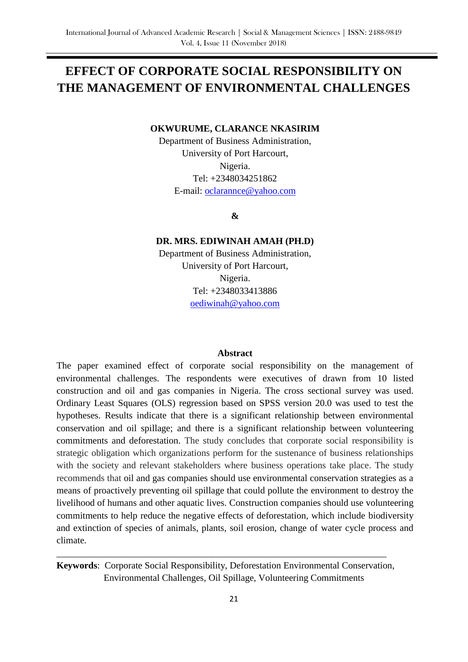# **EFFECT OF CORPORATE SOCIAL RESPONSIBILITY ON THE MANAGEMENT OF ENVIRONMENTAL CHALLENGES**

#### **OKWURUME, CLARANCE NKASIRIM**

Department of Business Administration, University of Port Harcourt, Nigeria. Tel: +2348034251862 E-mail: [oclarannce@yahoo.com](mailto:oclarannce@yahoo.com)

**&** 

#### **DR. MRS. EDIWINAH AMAH (PH.D)**

Department of Business Administration, University of Port Harcourt, Nigeria. Tel: +2348033413886 [oediwinah@yahoo.com](mailto:oediwinah@yahoo.com)

#### **Abstract**

The paper examined effect of corporate social responsibility on the management of environmental challenges. The respondents were executives of drawn from 10 listed construction and oil and gas companies in Nigeria. The cross sectional survey was used. Ordinary Least Squares (OLS) regression based on SPSS version 20.0 was used to test the hypotheses. Results indicate that there is a significant relationship between environmental conservation and oil spillage; and there is a significant relationship between volunteering commitments and deforestation. The study concludes that corporate social responsibility is strategic obligation which organizations perform for the sustenance of business relationships with the society and relevant stakeholders where business operations take place. The study recommends that oil and gas companies should use environmental conservation strategies as a means of proactively preventing oil spillage that could pollute the environment to destroy the livelihood of humans and other aquatic lives. Construction companies should use volunteering commitments to help reduce the negative effects of deforestation, which include biodiversity and extinction of species of animals, plants, soil erosion, change of water cycle process and climate.

**Keywords**: Corporate Social Responsibility, Deforestation Environmental Conservation, Environmental Challenges, Oil Spillage, Volunteering Commitments

\_\_\_\_\_\_\_\_\_\_\_\_\_\_\_\_\_\_\_\_\_\_\_\_\_\_\_\_\_\_\_\_\_\_\_\_\_\_\_\_\_\_\_\_\_\_\_\_\_\_\_\_\_\_\_\_\_\_\_\_\_\_\_\_\_\_\_\_\_\_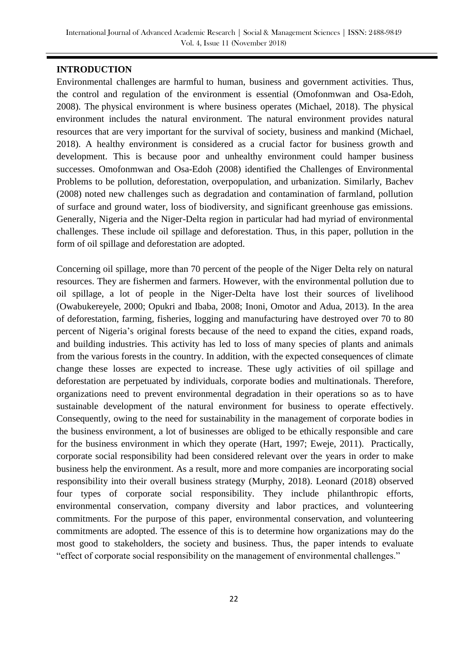# **INTRODUCTION**

Environmental challenges are harmful to human, business [and government](https://en.wikipedia.org/wiki/Human_impact_on_the_environment) activities. Thus, the control and regulation of the environment is essential (Omofonmwan and Osa-Edoh, 2008). The physical environment is where business operates (Michael, 2018). The physical environment includes the natural environment. The natural environment provides natural resources that are very important for the survival of society, business and mankind (Michael, 2018). A healthy environment is considered as a crucial factor for business growth and development. This is because poor and unhealthy environment could hamper business successes. Omofonmwan and Osa-Edoh (2008) identified the Challenges of Environmental Problems to be pollution, deforestation, overpopulation, and urbanization. Similarly, Bachev (2008) noted new challenges such as degradation and contamination of farmland, pollution of surface and ground water, loss of biodiversity, and significant greenhouse gas emissions. Generally, Nigeria and the Niger-Delta region in particular had had myriad of environmental challenges. These include oil spillage and deforestation. Thus, in this paper, pollution in the form of oil spillage and deforestation are adopted.

Concerning oil spillage, more than 70 percent of the people of the Niger Delta rely on natural resources. They are fishermen and farmers. However, with the environmental pollution due to oil spillage, a lot of people in the Niger-Delta have lost their sources of livelihood (Owabukereyele, 2000; Opukri and Ibaba, 2008; Inoni, Omotor and Adua, 2013). In the area of deforestation, farming, fisheries, logging and manufacturing have destroyed over 70 to 80 percent of Nigeria's original forests because of the need to expand the cities, expand roads, and building industries. This activity has led to loss of many species of plants and animals from the various forests in the country. In addition, with the expected consequences of climate change these losses are expected to increase. These ugly activities of oil spillage and deforestation are perpetuated by individuals, corporate bodies and multinationals. Therefore, organizations need to prevent environmental degradation in their operations so as to have sustainable development of the natural environment for business to operate effectively. Consequently, owing to the need for sustainability in the management of corporate bodies in the business environment, a lot of businesses are obliged to be ethically responsible and care for the business environment in which they operate (Hart, 1997; Eweje, 2011). Practically, corporate social responsibility had been considered relevant over the years in order to make business help the environment. As a result, more and more companies are incorporating social responsibility into their overall business strategy (Murphy, 2018). Leonard (2018) observed four types of corporate social responsibility. They include philanthropic efforts, environmental conservation, company diversity and labor practices, and volunteering commitments. For the purpose of this paper, environmental conservation, and volunteering commitments are adopted. The essence of this is to determine how organizations may do the most good to stakeholders, the society and business. Thus, the paper intends to evaluate "effect of corporate social responsibility on the management of environmental challenges."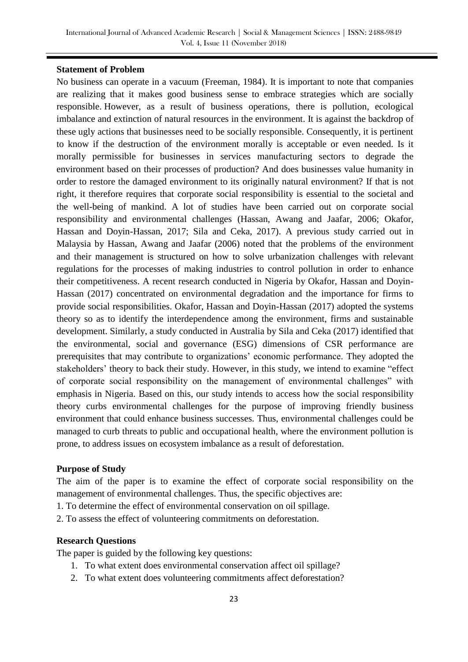#### **Statement of Problem**

No business can operate in a vacuum (Freeman, 1984). It is important to note that companies are realizing that it makes good business sense to embrace strategies which are socially responsible. However, as a result of business operations, there is pollution, ecological imbalance and extinction of natural resources in the environment. It is against the backdrop of these ugly actions that businesses need to be socially responsible. Consequently, it is pertinent to know if the destruction of the environment morally is acceptable or even needed. Is it morally permissible for businesses in services manufacturing sectors to degrade the environment based on their processes of production? And does businesses value humanity in order to restore the damaged environment to its originally natural environment? If that is not right, it therefore requires that corporate social responsibility is essential to the societal and the well-being of mankind. A lot of studies have been carried out on corporate social responsibility and environmental challenges (Hassan, Awang and Jaafar, 2006; Okafor, Hassan and Doyin-Hassan, 2017; Sila and Ceka, 2017). A previous study carried out in Malaysia by Hassan, Awang and Jaafar (2006) noted that the problems of the environment and their management is structured on how to solve urbanization challenges with relevant regulations for the processes of making industries to control pollution in order to enhance their competitiveness. A recent research conducted in Nigeria by Okafor, Hassan and Doyin-Hassan (2017) concentrated on environmental degradation and the importance for firms to provide social responsibilities. Okafor, Hassan and Doyin-Hassan (2017) adopted the systems theory so as to identify the interdependence among the environment, firms and sustainable development. Similarly, a study conducted in Australia by Sila and Ceka (2017) identified that the environmental, social and governance (ESG) dimensions of CSR performance are prerequisites that may contribute to organizations' economic performance. They adopted the stakeholders' theory to back their study. However, in this study, we intend to examine "effect" of corporate social responsibility on the management of environmental challenges" with emphasis in Nigeria. Based on this, our study intends to access how the social responsibility theory curbs environmental challenges for the purpose of improving friendly business environment that could enhance business successes. Thus, environmental challenges could be managed to curb threats to public and occupational health, where the environment pollution is prone, to address issues on ecosystem imbalance as a result of deforestation.

# **Purpose of Study**

The aim of the paper is to examine the effect of corporate social responsibility on the management of environmental challenges. Thus, the specific objectives are:

- 1. To determine the effect of environmental conservation on oil spillage.
- 2. To assess the effect of volunteering commitments on deforestation.

#### **Research Questions**

The paper is guided by the following key questions:

- 1. To what extent does environmental conservation affect oil spillage?
- 2. To what extent does volunteering commitments affect deforestation?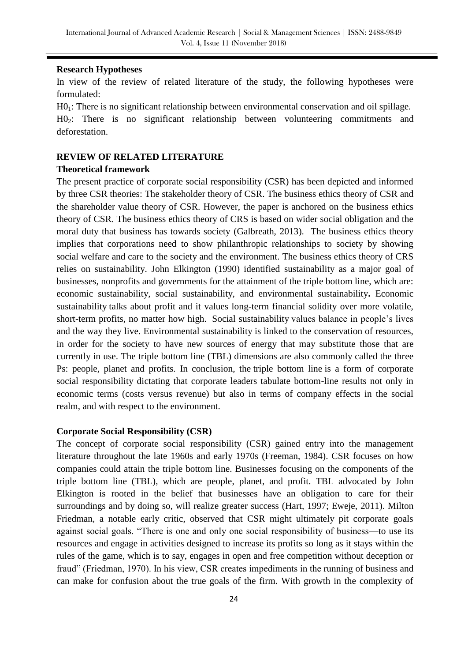#### **Research Hypotheses**

In view of the review of related literature of the study, the following hypotheses were formulated:

H0<sub>1</sub>: There is no significant relationship between environmental conservation and oil spillage. H0<sup>2</sup>: There is no significant relationship between volunteering commitments and deforestation.

## **REVIEW OF RELATED LITERATURE**

# **Theoretical framework**

The present practice of corporate social responsibility (CSR) has been depicted and informed by three CSR theories: The stakeholder theory of CSR. The business ethics theory of CSR and the shareholder value theory of CSR. However, the paper is anchored on the business ethics theory of CSR. The business ethics theory of CRS is based on wider social obligation and the moral duty that business has towards society (Galbreath, 2013). The business ethics theory implies that corporations need to show philanthropic relationships to society by showing social welfare and care to the society and the environment. The business ethics theory of CRS relies on sustainability. John Elkington (1990) identified sustainability as a major goal of businesses, nonprofits and governments for the attainment of the triple bottom line, which are: economic sustainability, social sustainability, and environmental sustainability**.** Economic sustainability talks about profit and it values long-term financial solidity over more volatile, short-term profits, no matter how high. Social sustainability values balance in people's lives and the way they live. Environmental sustainability is linked to the conservation of resources, in order for the society to have new sources of energy that may substitute those that are currently in use. The triple bottom line (TBL) dimensions are also commonly called the three Ps: people, planet and profits. In conclusion, the triple bottom line is a form of corporate social responsibility dictating that corporate leaders tabulate bottom-line results not only in economic terms (costs versus revenue) but also in terms of company effects in the social realm, and with respect to the environment.

# **Corporate Social Responsibility (CSR)**

The concept of corporate social responsibility (CSR) gained entry into the management literature throughout the late 1960s and early 1970s (Freeman, 1984). CSR focuses on how companies could attain the triple bottom line. Businesses focusing on the components of the triple bottom line (TBL), which are people, planet, and profit. TBL advocated by John Elkington is rooted in the belief that businesses have an obligation to care for their surroundings and by doing so, will realize greater success (Hart, 1997; Eweje, 2011). Milton Friedman, a notable early critic, observed that CSR might ultimately pit corporate goals against social goals. "There is one and only one social responsibility of business—to use its resources and engage in activities designed to increase its profits so long as it stays within the rules of the game, which is to say, engages in open and free competition without deception or fraud" (Friedman, 1970). In his view, CSR creates impediments in the running of business and can make for confusion about the true goals of the firm. With growth in the complexity of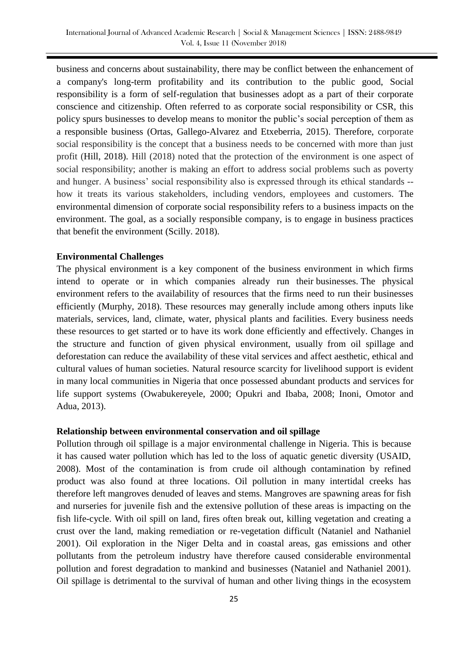business and concerns about sustainability, there may be conflict between the enhancement of a company's long-term profitability and its contribution to the public good, Social responsibility is a form of self-regulation that businesses adopt as a part of their corporate conscience and citizenship. Often referred to as corporate social responsibility or CSR, this policy spurs businesses to develop means to monitor the public's social perception of them as a responsible business (Ortas, Gallego-Alvarez and Etxeberria, 2015). Therefore, corporate social responsibility is the concept that a business needs to be concerned with more than just profit (Hill, 2018). Hill (2018) noted that the protection of the environment is one aspect of social responsibility; another is making an effort to address social problems such as poverty and hunger. A business' social responsibility also is expressed through its ethical standards - how it treats its various stakeholders, including vendors, employees and customers. The environmental dimension of corporate social responsibility refers to a business impacts on the environment. The goal, as a socially responsible company, is to engage in business practices that benefit the environment (Scilly. 2018).

# **Environmental Challenges**

The physical environment is a key component of the business environment in which firms intend to operate or in which companies already run their businesses. The physical environment refers to the availability of resources that the firms need to run their businesses efficiently (Murphy, 2018). These resources may generally include among others inputs like materials, services, land, climate, water, physical plants and facilities. Every business needs these resources to get started or to have its work done efficiently and effectively. Changes in the structure and function of given physical environment, usually from oil spillage and deforestation can reduce the availability of these vital services and affect aesthetic, ethical and cultural values of human societies. Natural resource scarcity for livelihood support is evident in many local communities in Nigeria that once possessed abundant products and services for life support systems (Owabukereyele, 2000; Opukri and Ibaba, 2008; Inoni, Omotor and Adua, 2013).

#### **Relationship between environmental conservation and oil spillage**

Pollution through oil spillage is a major environmental challenge in Nigeria. This is because it has caused water pollution which has led to the loss of aquatic genetic diversity (USAID, 2008). Most of the contamination is from crude oil although contamination by refined product was also found at three locations. Oil pollution in many intertidal creeks has therefore left mangroves denuded of leaves and stems. Mangroves are spawning areas for fish and nurseries for juvenile fish and the extensive pollution of these areas is impacting on the fish life-cycle. With oil spill on land, fires often break out, killing vegetation and creating a crust over the land, making remediation or re-vegetation difficult (Nataniel and Nathaniel 2001). Oil exploration in the Niger Delta and in coastal areas, gas emissions and other pollutants from the petroleum industry have therefore caused considerable environmental pollution and forest degradation to mankind and businesses (Nataniel and Nathaniel 2001). Oil spillage is detrimental to the survival of human and other living things in the ecosystem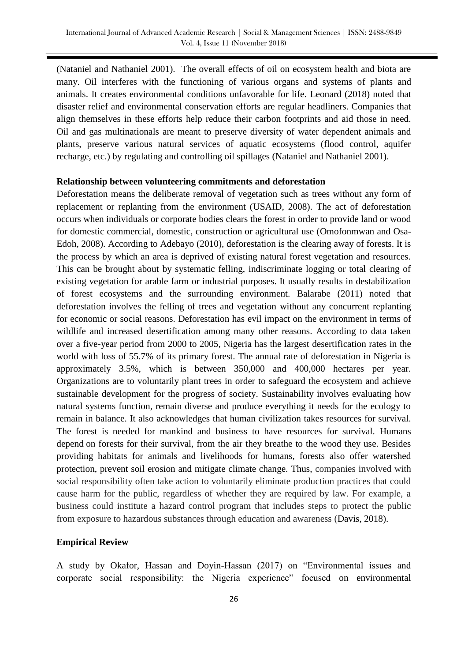(Nataniel and Nathaniel 2001). The overall effects of oil on ecosystem health and biota are many. Oil interferes with the functioning of various organs and systems of plants and animals. It creates environmental conditions unfavorable for life. Leonard (2018) noted that disaster relief and environmental conservation efforts are regular headliners. Companies that align themselves in these efforts help reduce their carbon footprints and aid those in need. Oil and gas multinationals are meant to preserve diversity of water dependent animals and plants, preserve various natural services of aquatic ecosystems (flood control, aquifer recharge, etc.) by regulating and controlling oil spillages (Nataniel and Nathaniel 2001).

## **Relationship between volunteering commitments and deforestation**

Deforestation means the deliberate removal of vegetation such as trees without any form of replacement or replanting from the environment (USAID, 2008). The act of deforestation occurs when individuals or corporate bodies clears the forest in order to provide land or wood for domestic commercial, domestic, construction or agricultural use (Omofonmwan and Osa-Edoh, 2008). According to Adebayo (2010), deforestation is the clearing away of forests. It is the process by which an area is deprived of existing natural forest vegetation and resources. This can be brought about by systematic felling, indiscriminate logging or total clearing of existing vegetation for arable farm or industrial purposes. It usually results in destabilization of forest ecosystems and the surrounding environment. Balarabe (2011) noted that deforestation involves the felling of trees and vegetation without any concurrent replanting for economic or social reasons. Deforestation has evil impact on the environment in terms of wildlife and increased desertification among many other reasons. According to data taken over a five-year period from 2000 to 2005, Nigeria has the largest desertification rates in the world with loss of 55.7% of its primary forest. The annual rate of deforestation in Nigeria is approximately 3.5%, which is between 350,000 and 400,000 hectares per year. Organizations are to voluntarily plant trees in order to safeguard the ecosystem and achieve sustainable development for the progress of society. Sustainability involves evaluating how natural systems function, remain diverse and produce everything it needs for the ecology to remain in balance. It also acknowledges that human civilization takes resources for survival. The forest is needed for mankind and business to have resources for survival. Humans depend on forests for their survival, from the air they breathe to the wood they use. Besides providing habitats for animals and livelihoods for humans, forests also offer watershed protection, prevent soil erosion and mitigate climate change. Thus, companies involved with social responsibility often take action to voluntarily eliminate production practices that could cause harm for the public, regardless of whether they are required by law. For example, a business could institute a hazard control program that includes steps to protect the public from exposure to hazardous substances through education and awareness (Davis, 2018).

#### **Empirical Review**

A study by Okafor, Hassan and Doyin-Hassan (2017) on "Environmental issues and corporate social responsibility: the Nigeria experience" focused on environmental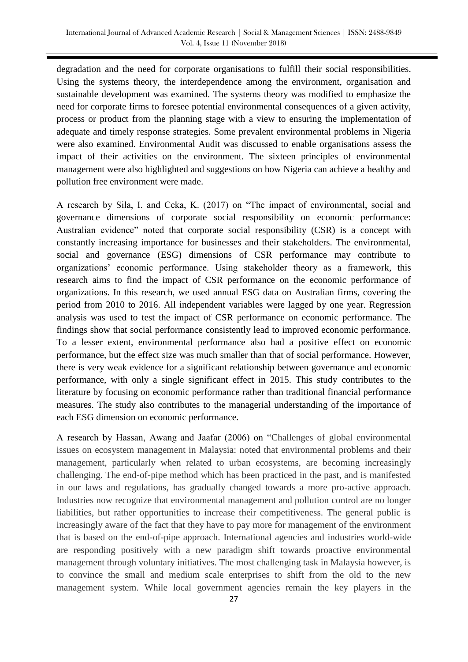degradation and the need for corporate organisations to fulfill their social responsibilities. Using the systems theory, the interdependence among the environment, organisation and sustainable development was examined. The systems theory was modified to emphasize the need for corporate firms to foresee potential environmental consequences of a given activity, process or product from the planning stage with a view to ensuring the implementation of adequate and timely response strategies. Some prevalent environmental problems in Nigeria were also examined. Environmental Audit was discussed to enable organisations assess the impact of their activities on the environment. The sixteen principles of environmental management were also highlighted and suggestions on how Nigeria can achieve a healthy and pollution free environment were made.

A research by Sila, I. and Ceka, K. (2017) on "The impact of environmental, social and governance dimensions of corporate social responsibility on economic performance: Australian evidence" noted that corporate social responsibility (CSR) is a concept with constantly increasing importance for businesses and their stakeholders. The environmental, social and governance (ESG) dimensions of CSR performance may contribute to organizations' economic performance. Using stakeholder theory as a framework, this research aims to find the impact of CSR performance on the economic performance of organizations. In this research, we used annual ESG data on Australian firms, covering the period from 2010 to 2016. All independent variables were lagged by one year. Regression analysis was used to test the impact of CSR performance on economic performance. The findings show that social performance consistently lead to improved economic performance. To a lesser extent, environmental performance also had a positive effect on economic performance, but the effect size was much smaller than that of social performance. However, there is very weak evidence for a significant relationship between governance and economic performance, with only a single significant effect in 2015. This study contributes to the literature by focusing on economic performance rather than traditional financial performance measures. The study also contributes to the managerial understanding of the importance of each ESG dimension on economic performance.

A research by Hassan, Awang and Jaafar (2006) on "Challenges of global environmental issues on ecosystem management in Malaysia: noted that environmental problems and their management, particularly when related to urban ecosystems, are becoming increasingly challenging. The end-of-pipe method which has been practiced in the past, and is manifested in our laws and regulations, has gradually changed towards a more pro-active approach. Industries now recognize that environmental management and pollution control are no longer liabilities, but rather opportunities to increase their competitiveness. The general public is increasingly aware of the fact that they have to pay more for management of the environment that is based on the end-of-pipe approach. International agencies and industries world-wide are responding positively with a new paradigm shift towards proactive environmental management through voluntary initiatives. The most challenging task in Malaysia however, is to convince the small and medium scale enterprises to shift from the old to the new management system. While local government agencies remain the key players in the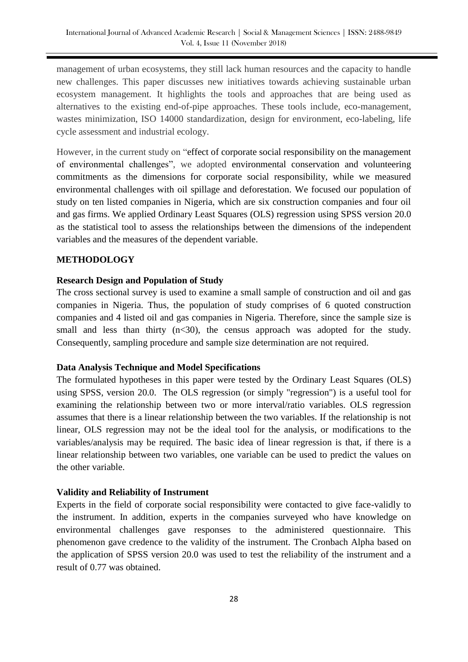management of urban ecosystems, they still lack human resources and the capacity to handle new challenges. This paper discusses new initiatives towards achieving sustainable urban ecosystem management. It highlights the tools and approaches that are being used as alternatives to the existing end-of-pipe approaches. These tools include, eco-management, wastes minimization, ISO 14000 standardization, design for environment, eco-labeling, life cycle assessment and industrial ecology.

However, in the current study on "effect of corporate social responsibility on the management of environmental challenges", we adopted environmental conservation and volunteering commitments as the dimensions for corporate social responsibility, while we measured environmental challenges with oil spillage and deforestation. We focused our population of study on ten listed companies in Nigeria, which are six construction companies and four oil and gas firms. We applied Ordinary Least Squares (OLS) regression using SPSS version 20.0 as the statistical tool to assess the relationships between the dimensions of the independent variables and the measures of the dependent variable.

# **METHODOLOGY**

# **Research Design and Population of Study**

The cross sectional survey is used to examine a small sample of construction and oil and gas companies in Nigeria. Thus, the population of study comprises of 6 quoted construction companies and 4 listed oil and gas companies in Nigeria. Therefore, since the sample size is small and less than thirty  $(n<30)$ , the census approach was adopted for the study. Consequently, sampling procedure and sample size determination are not required.

# **Data Analysis Technique and Model Specifications**

The formulated hypotheses in this paper were tested by the Ordinary Least Squares (OLS) using SPSS, version 20.0. The OLS regression (or simply "regression") is a useful tool for examining the relationship between two or more interval/ratio variables. OLS regression assumes that there is a linear relationship between the two variables. If the relationship is not linear, OLS regression may not be the ideal tool for the analysis, or modifications to the variables/analysis may be required. The basic idea of linear regression is that, if there is a linear relationship between two variables, one variable can be used to predict the values on the other variable.

# **Validity and Reliability of Instrument**

Experts in the field of corporate social responsibility were contacted to give face-validly to the instrument. In addition, experts in the companies surveyed who have knowledge on environmental challenges gave responses to the administered questionnaire. This phenomenon gave credence to the validity of the instrument. The Cronbach Alpha based on the application of SPSS version 20.0 was used to test the reliability of the instrument and a result of 0.77 was obtained.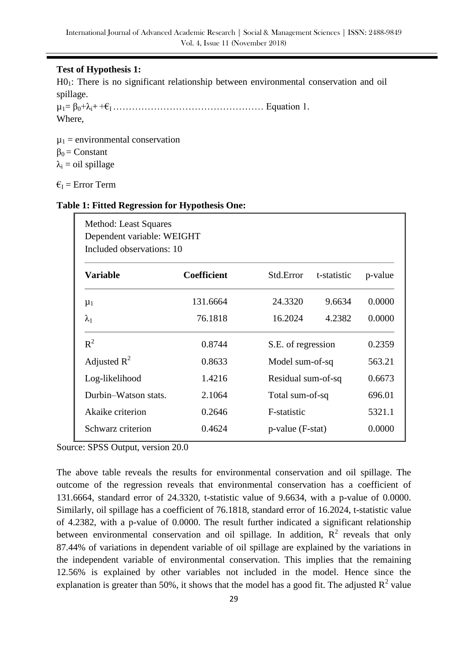# **Test of Hypothesis 1:**

H01: There is no significant relationship between environmental conservation and oil spillage.

µ1= β0+λi+ +€I ………………………………………… Equation 1. Where,

 $\mu_1$  = environmental conservation  $\beta_0$  = Constant  $\lambda_i$  = oil spillage

 $\epsilon_{I}$  = Error Term

# **Table 1: Fitted Regression for Hypothesis One:**

| <b>Variable</b>      | <b>Coefficient</b> | Std.Error           | t-statistic | p-value |
|----------------------|--------------------|---------------------|-------------|---------|
| $\mu_1$              | 131.6664           | 24.3320             | 9.6634      | 0.0000  |
| $\lambda_1$          | 76.1818            | 16.2024             | 4.2382      | 0.0000  |
| $R^2$                | 0.8744             | S.E. of regression  |             | 0.2359  |
| Adjusted $R^2$       | 0.8633             | Model sum-of-sq     |             | 563.21  |
| Log-likelihood       | 1.4216             | Residual sum-of-sq  |             | 0.6673  |
| Durbin-Watson stats. | 2.1064             | Total sum-of-sq     |             | 696.01  |
| Akaike criterion     | 0.2646             | F-statistic         |             | 5321.1  |
| Schwarz criterion    | 0.4624             | $p$ -value (F-stat) |             | 0.0000  |

Source: SPSS Output, version 20.0

The above table reveals the results for environmental conservation and oil spillage. The outcome of the regression reveals that environmental conservation has a coefficient of 131.6664, standard error of 24.3320, t-statistic value of 9.6634, with a p-value of 0.0000. Similarly, oil spillage has a coefficient of 76.1818, standard error of 16.2024, t-statistic value of 4.2382, with a p-value of 0.0000. The result further indicated a significant relationship between environmental conservation and oil spillage. In addition,  $R^2$  reveals that only 87.44% of variations in dependent variable of oil spillage are explained by the variations in the independent variable of environmental conservation. This implies that the remaining 12.56% is explained by other variables not included in the model. Hence since the explanation is greater than 50%, it shows that the model has a good fit. The adjusted  $R^2$  value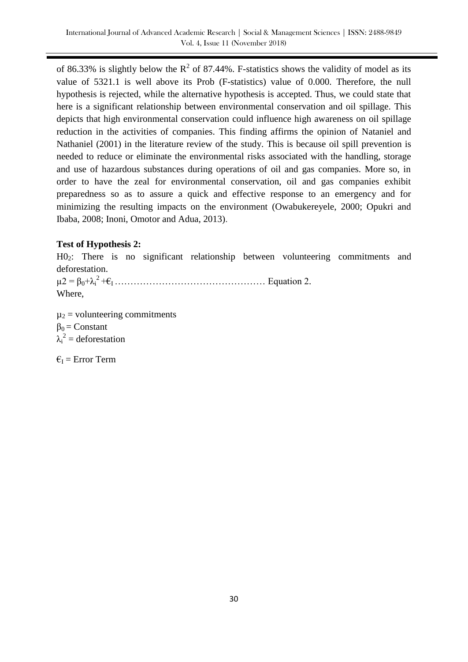of 86.33% is slightly below the  $R^2$  of 87.44%. F-statistics shows the validity of model as its value of 5321.1 is well above its Prob (F-statistics) value of 0.000. Therefore, the null hypothesis is rejected, while the alternative hypothesis is accepted. Thus, we could state that here is a significant relationship between environmental conservation and oil spillage. This depicts that high environmental conservation could influence high awareness on oil spillage reduction in the activities of companies. This finding affirms the opinion of Nataniel and Nathaniel (2001) in the literature review of the study. This is because oil spill prevention is needed to reduce or eliminate the environmental risks associated with the handling, storage and use of hazardous substances during operations of oil and gas companies. More so, in order to have the zeal for environmental conservation, oil and gas companies exhibit preparedness so as to assure a quick and effective response to an emergency and for minimizing the resulting impacts on the environment (Owabukereyele, 2000; Opukri and Ibaba, 2008; Inoni, Omotor and Adua, 2013).

# **Test of Hypothesis 2:**

H02: There is no significant relationship between volunteering commitments and deforestation.

 $\mu$ 2 =  $\beta_0 + \lambda_i^2 + \epsilon_1$  … … … … … … … Equation 2. Where,

 $\mu_2$  = volunteering commitments  $\beta_0$  = Constant  $\lambda_i^2$  = deforestation

 $\epsilon_{I}$  = Error Term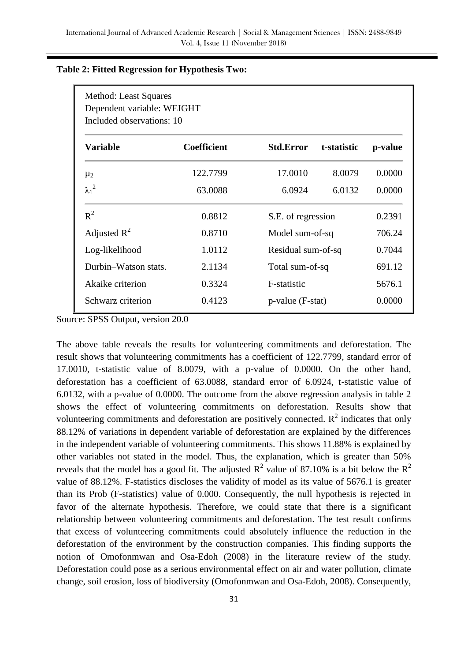| Method: Least Squares<br>Dependent variable: WEIGHT<br>Included observations: 10 |                    |                     |             |         |  |  |  |
|----------------------------------------------------------------------------------|--------------------|---------------------|-------------|---------|--|--|--|
| <b>Variable</b>                                                                  | <b>Coefficient</b> | <b>Std.Error</b>    | t-statistic | p-value |  |  |  |
| $\mu_2$                                                                          | 122.7799           | 17.0010             | 8.0079      | 0.0000  |  |  |  |
| $\lambda_1^2$                                                                    | 63.0088            | 6.0924              | 6.0132      | 0.0000  |  |  |  |
| $R^2$                                                                            | 0.8812             | S.E. of regression  |             | 0.2391  |  |  |  |
| Adjusted $R^2$                                                                   | 0.8710             | Model sum-of-sq     |             | 706.24  |  |  |  |
| Log-likelihood                                                                   | 1.0112             | Residual sum-of-sq  |             | 0.7044  |  |  |  |
| Durbin-Watson stats.                                                             | 2.1134             | Total sum-of-sq     |             | 691.12  |  |  |  |
| Akaike criterion                                                                 | 0.3324             | F-statistic         |             | 5676.1  |  |  |  |
| Schwarz criterion                                                                | 0.4123             | $p$ -value (F-stat) |             | 0.0000  |  |  |  |

# **Table 2: Fitted Regression for Hypothesis Two:**

Source: SPSS Output, version 20.0

The above table reveals the results for volunteering commitments and deforestation. The result shows that volunteering commitments has a coefficient of 122.7799, standard error of 17.0010, t-statistic value of 8.0079, with a p-value of 0.0000. On the other hand, deforestation has a coefficient of 63.0088, standard error of 6.0924, t-statistic value of 6.0132, with a p-value of 0.0000. The outcome from the above regression analysis in table 2 shows the effect of volunteering commitments on deforestation. Results show that volunteering commitments and deforestation are positively connected.  $R^2$  indicates that only 88.12% of variations in dependent variable of deforestation are explained by the differences in the independent variable of volunteering commitments. This shows 11.88% is explained by other variables not stated in the model. Thus, the explanation, which is greater than 50% reveals that the model has a good fit. The adjusted  $R^2$  value of 87.10% is a bit below the  $R^2$ value of 88.12%. F-statistics discloses the validity of model as its value of 5676.1 is greater than its Prob (F-statistics) value of 0.000. Consequently, the null hypothesis is rejected in favor of the alternate hypothesis. Therefore, we could state that there is a significant relationship between volunteering commitments and deforestation. The test result confirms that excess of volunteering commitments could absolutely influence the reduction in the deforestation of the environment by the construction companies. This finding supports the notion of Omofonmwan and Osa-Edoh (2008) in the literature review of the study. Deforestation could pose as a serious environmental effect on air and water pollution, climate change, soil erosion, loss of biodiversity (Omofonmwan and Osa-Edoh, 2008). Consequently,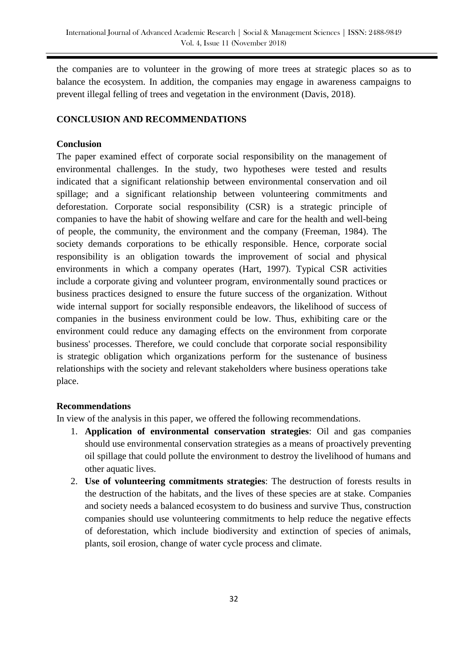the companies are to volunteer in the growing of more trees at strategic places so as to balance the ecosystem. In addition, the companies may engage in awareness campaigns to prevent illegal felling of trees and vegetation in the environment (Davis, 2018).

# **CONCLUSION AND RECOMMENDATIONS**

# **Conclusion**

The paper examined effect of corporate social responsibility on the management of environmental challenges. In the study, two hypotheses were tested and results indicated that a significant relationship between environmental conservation and oil spillage; and a significant relationship between volunteering commitments and deforestation. Corporate social responsibility (CSR) is a strategic principle of companies to have the habit of showing welfare and care for the health and well-being of people, the community, the environment and the company (Freeman, 1984). The society demands corporations to be ethically responsible. Hence, corporate social responsibility is an obligation towards the improvement of social and physical environments in which a company operates (Hart, 1997). Typical CSR activities include a corporate giving and volunteer program, environmentally sound practices or business practices designed to ensure the future success of the organization. Without wide internal support for socially responsible endeavors, the likelihood of success of companies in the business environment could be low. Thus, exhibiting care or the environment could reduce any damaging effects on the environment from corporate business' processes. Therefore, we could conclude that corporate social responsibility is strategic obligation which organizations perform for the sustenance of business relationships with the society and relevant stakeholders where business operations take place.

# **Recommendations**

In view of the analysis in this paper, we offered the following recommendations.

- 1. **Application of environmental conservation strategies**: Oil and gas companies should use environmental conservation strategies as a means of proactively preventing oil spillage that could pollute the environment to destroy the livelihood of humans and other aquatic lives.
- 2. **Use of volunteering commitments strategies**: The destruction of forests results in the destruction of the habitats, and the lives of these species are at stake. Companies and society needs a balanced ecosystem to do business and survive Thus, construction companies should use volunteering commitments to help reduce the negative effects of deforestation, which include biodiversity and extinction of species of animals, plants, soil erosion, change of water cycle process and climate.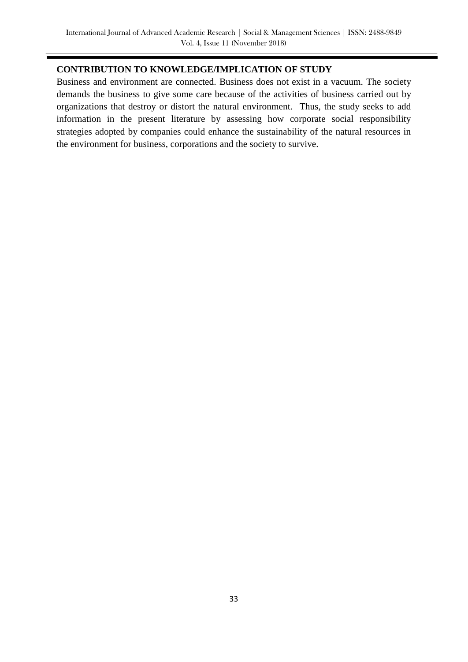# **CONTRIBUTION TO KNOWLEDGE/IMPLICATION OF STUDY**

Business and environment are connected. Business does not exist in a vacuum. The society demands the business to give some care because of the activities of business carried out by organizations that destroy or distort the natural environment. Thus, the study seeks to add information in the present literature by assessing how corporate social responsibility strategies adopted by companies could enhance the sustainability of the natural resources in the environment for business, corporations and the society to survive.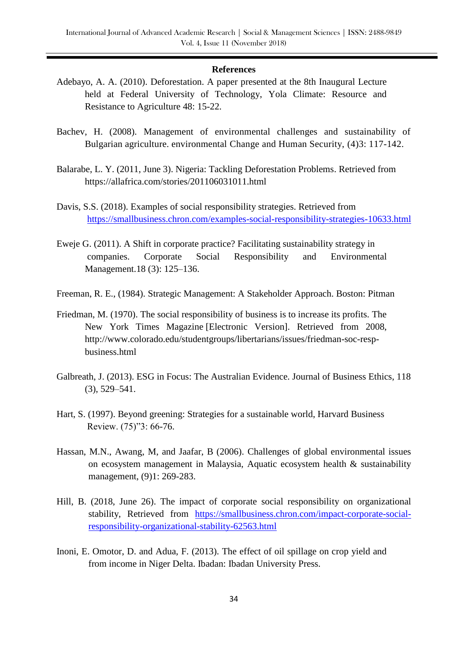#### **References**

- Adebayo, A. A. (2010). Deforestation. A paper presented at the 8th Inaugural Lecture held at Federal University of Technology, Yola Climate: Resource and Resistance to Agriculture 48: 15-22.
- Bachev, H. (2008). Management of environmental challenges and sustainability of Bulgarian agriculture. environmental Change and Human Security, (4)3: 117-142.
- Balarabe, L. Y. (2011, June 3). Nigeria: Tackling Deforestation Problems. Retrieved from https://allafrica.com/stories/201106031011.html
- Davis, S.S. (2018). Examples of social responsibility strategies. Retrieved from <https://smallbusiness.chron.com/examples-social-responsibility-strategies-10633.html>
- Eweje G. (2011). A Shift in corporate practice? Facilitating sustainability strategy in companies. Corporate Social Responsibility and Environmental Management.18 (3): 125–136.
- Freeman, R. E., (1984). Strategic Management: A Stakeholder Approach. Boston: Pitman
- Friedman, M. (1970). The social responsibility of business is to increase its profits. The New York Times Magazine [Electronic Version]. Retrieved from 2008, [http://www.colorado.edu/studentgroups/libertarians/issues/friedman-soc-resp](http://www.colorado.edu/studentgroups/libertarians/issues/friedman-soc-resp-business.html)[business.html](http://www.colorado.edu/studentgroups/libertarians/issues/friedman-soc-resp-business.html)
- Galbreath, J. (2013). ESG in Focus: The Australian Evidence. Journal of Business Ethics, 118 (3), 529–541.
- Hart, S. (1997). Beyond greening: Strategies for a sustainable world, Harvard Business Review. (75)"3: 66-76.
- Hassan, M.N., Awang, M, and Jaafar, B (2006). Challenges of global environmental issues on ecosystem management in Malaysia, Aquatic ecosystem health & sustainability management, (9)1: 269-283.
- Hill, B. (2018, June 26). The impact of corporate social responsibility on organizational stability, Retrieved from [https://smallbusiness.chron.com/impact-corporate-social](https://smallbusiness.chron.com/impact-corporate-social-responsibility-organizational-stability-62563.html)[responsibility-organizational-stability-62563.html](https://smallbusiness.chron.com/impact-corporate-social-responsibility-organizational-stability-62563.html)
- Inoni, E. Omotor, D. and Adua, F. (2013). The effect of oil spillage on crop yield and from income in Niger Delta. Ibadan: Ibadan University Press.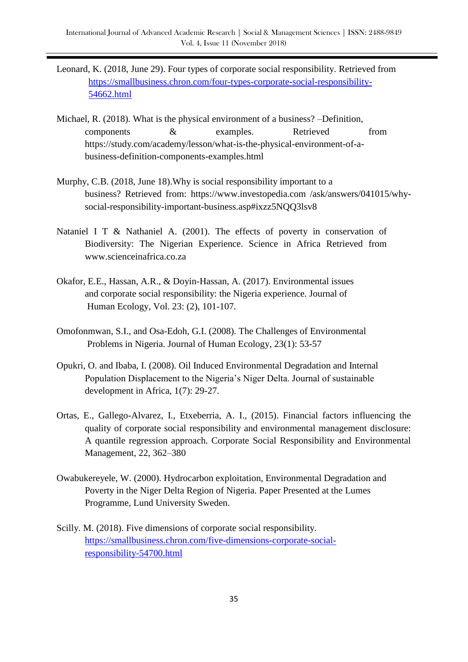- Leonard, K. (2018, June 29). Four types of corporate social responsibility. Retrieved from [https://smallbusiness.chron.com/four-types-corporate-social-responsibility-](https://smallbusiness.chron.com/four-types-corporate-social-responsibility-54662.html)[54662.html](https://smallbusiness.chron.com/four-types-corporate-social-responsibility-54662.html)
- Michael, R. (2018). What is the physical environment of a business? –Definition, components & examples. Retrieved from https://study.com/academy/lesson/what-is-the-physical-environment-of-abusiness-definition-components-examples.html
- Murphy, C.B. (2018, June 18).Why is social responsibility important to a business? Retrieved from: [https://www.investopedia.com /ask/answers/041015/why](https://www.investopedia.com/ask/answers/041015/why-social-responsibility-important-business.asp#ixzz5NQQ3lsv8)[social-responsibility-important-business.asp#ixzz5NQQ3lsv8](https://www.investopedia.com/ask/answers/041015/why-social-responsibility-important-business.asp#ixzz5NQQ3lsv8)
- Nataniel I T & Nathaniel A. (2001). The effects of poverty in conservation of Biodiversity: The Nigerian Experience. Science in Africa Retrieved from www.scienceinafrica.co.za
- Okafor, E.E., Hassan, A.R., & Doyin-Hassan, A. (2017). Environmental issues and corporate social responsibility: the Nigeria experience. Journal of Human Ecology, Vol. 23: (2), 101-107.
- Omofonmwan, S.I., and Osa-Edoh, G.I. (2008). The Challenges of Environmental Problems in Nigeria. Journal of Human Ecology, 23(1): 53-57
- Opukri, O. and Ibaba, I. (2008). Oil Induced Environmental Degradation and Internal Population Displacement to the Nigeria's Niger Delta. Journal of sustainable development in Africa, 1(7): 29-27.
- Ortas, E., Gallego-Alvarez, I., Etxeberria, A. I., (2015). Financial factors influencing the quality of corporate social responsibility and environmental management disclosure: A quantile regression approach. Corporate Social Responsibility and Environmental Management, 22, 362–380
- Owabukereyele, W. (2000). Hydrocarbon exploitation, Environmental Degradation and Poverty in the Niger Delta Region of Nigeria. Paper Presented at the Lumes Programme, Lund University Sweden.
- Scilly. M. (2018). Five dimensions of corporate social responsibility. [https://smallbusiness.chron.com/five-dimensions-corporate-social](https://smallbusiness.chron.com/five-dimensions-corporate-social-responsibility-54700.html)[responsibility-54700.html](https://smallbusiness.chron.com/five-dimensions-corporate-social-responsibility-54700.html)